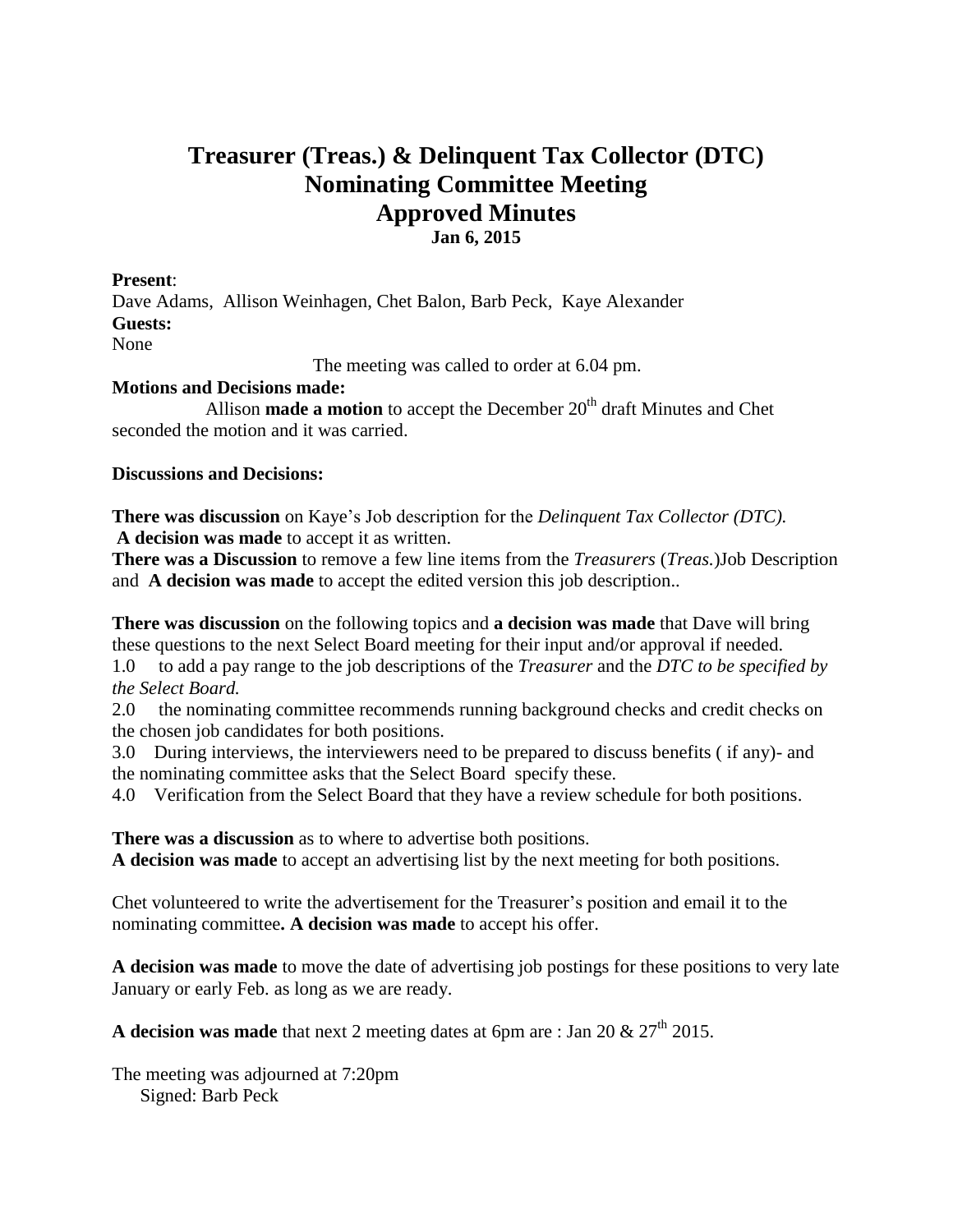## **Treasurer (Treas.) & Delinquent Tax Collector (DTC) Nominating Committee Meeting Approved Minutes Jan 6, 2015**

## **Present**:

Dave Adams, Allison Weinhagen, Chet Balon, Barb Peck, Kaye Alexander **Guests:**  None

The meeting was called to order at 6.04 pm.

## **Motions and Decisions made:**

Allison **made a motion** to accept the December 20<sup>th</sup> draft Minutes and Chet seconded the motion and it was carried.

## **Discussions and Decisions:**

**There was discussion** on Kaye's Job description for the *Delinquent Tax Collector (DTC).* **A decision was made** to accept it as written.

**There was a Discussion** to remove a few line items from the *Treasurers* (*Treas.*)Job Description and **A decision was made** to accept the edited version this job description..

**There was discussion** on the following topics and **a decision was made** that Dave will bring these questions to the next Select Board meeting for their input and/or approval if needed.

1.0 to add a pay range to the job descriptions of the *Treasurer* and the *DTC to be specified by the Select Board.*

2.0 the nominating committee recommends running background checks and credit checks on the chosen job candidates for both positions.

3.0 During interviews, the interviewers need to be prepared to discuss benefits ( if any)- and the nominating committee asks that the Select Board specify these.

4.0 Verification from the Select Board that they have a review schedule for both positions.

**There was a discussion** as to where to advertise both positions.

**A decision was made** to accept an advertising list by the next meeting for both positions.

Chet volunteered to write the advertisement for the Treasurer's position and email it to the nominating committee**. A decision was made** to accept his offer.

**A decision was made** to move the date of advertising job postings for these positions to very late January or early Feb. as long as we are ready.

**A decision was made** that next 2 meeting dates at 6pm are : Jan 20  $\&$  27<sup>th</sup> 2015.

The meeting was adjourned at 7:20pm Signed: Barb Peck